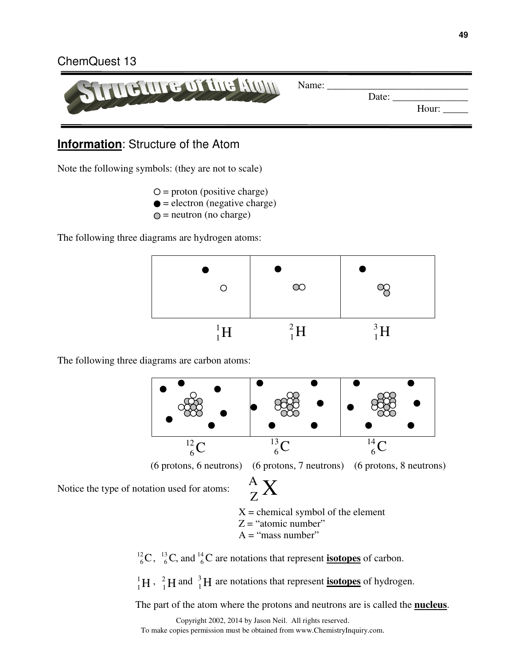#### ChemQuest 13



## **Information**: Structure of the Atom

Note the following symbols: (they are not to scale)

 $Q =$  proton (positive charge)

- $\bullet$  = electron (negative charge)
- $Q$  = neutron (no charge)

The following three diagrams are hydrogen atoms:



The following three diagrams are carbon atoms:



Notice the type of notation used for atoms:

 $X =$  chemical symbol of the element  ${^\mathrm{A}_\mathrm{Z}} \mathrm{X}$ Z

 $Z =$  "atomic number"

 $A = "mass number"$ 

 $^{12}_{6}$ C,  $^{13}_{6}$ C, and  $^{14}_{6}$ C are notations that represent **isotopes** of carbon. 6

 ${}^{1}_{1}H$ ,  ${}^{2}_{1}H$  and  ${}^{3}_{1}H$  are notations that represent **isotopes** of hydrogen.  $^{2}_{1}$ H and  $^{3}_{1}$ H 1

The part of the atom where the protons and neutrons are is called the **nucleus**.

Copyright 2002, 2014 by Jason Neil. All rights reserved. To make copies permission must be obtained from www.ChemistryInquiry.com.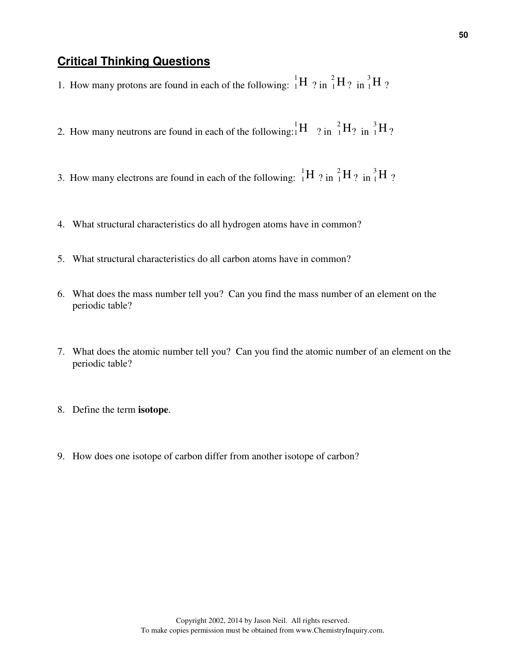## **Critical Thinking Questions**

- 1. How many protons are found in each of the following:  ${}^{1}_{1}H$  ? in  ${}^{2}_{1}H$ ? in  ${}^{3}_{1}H$ ? 1
- 2. How many neutrons are found in each of the following:  ${}_{1}^{1}H$  ? in  ${}_{1}^{2}H$ ? in  ${}_{1}^{3}H$ ? 1
- 3. How many electrons are found in each of the following:  $\frac{1}{1}H$  ? in  $\frac{2}{1}H$  ? in  $\frac{3}{1}H$  ? 1
- 4. What structural characteristics do all hydrogen atoms have in common?
- 5. What structural characteristics do all carbon atoms have in common?
- 6. What does the mass number tell you? Can you find the mass number of an element on the periodic table?
- 7. What does the atomic number tell you? Can you find the atomic number of an element on the periodic table?
- 8. Define the term **isotope**.
- 9. How does one isotope of carbon differ from another isotope of carbon?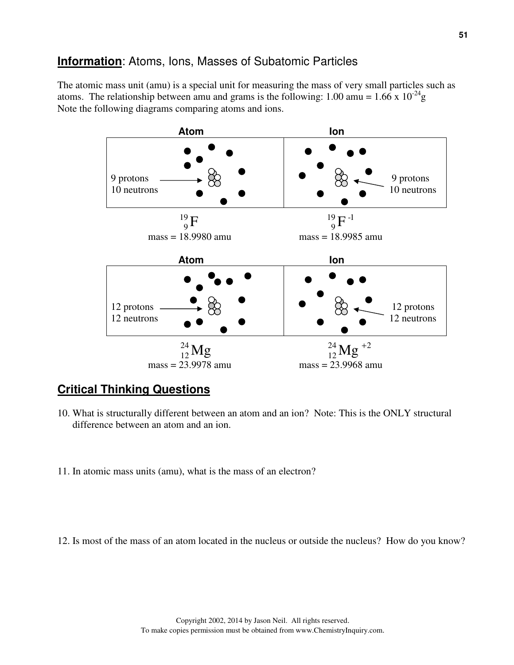# **Information**: Atoms, Ions, Masses of Subatomic Particles

The atomic mass unit (amu) is a special unit for measuring the mass of very small particles such as atoms. The relationship between amu and grams is the following: 1.00 amu =  $1.66 \times 10^{-24}$ g Note the following diagrams comparing atoms and ions.



#### **Critical Thinking Questions**

- 10. What is structurally different between an atom and an ion? Note: This is the ONLY structural difference between an atom and an ion.
- 11. In atomic mass units (amu), what is the mass of an electron?
- 12. Is most of the mass of an atom located in the nucleus or outside the nucleus? How do you know?